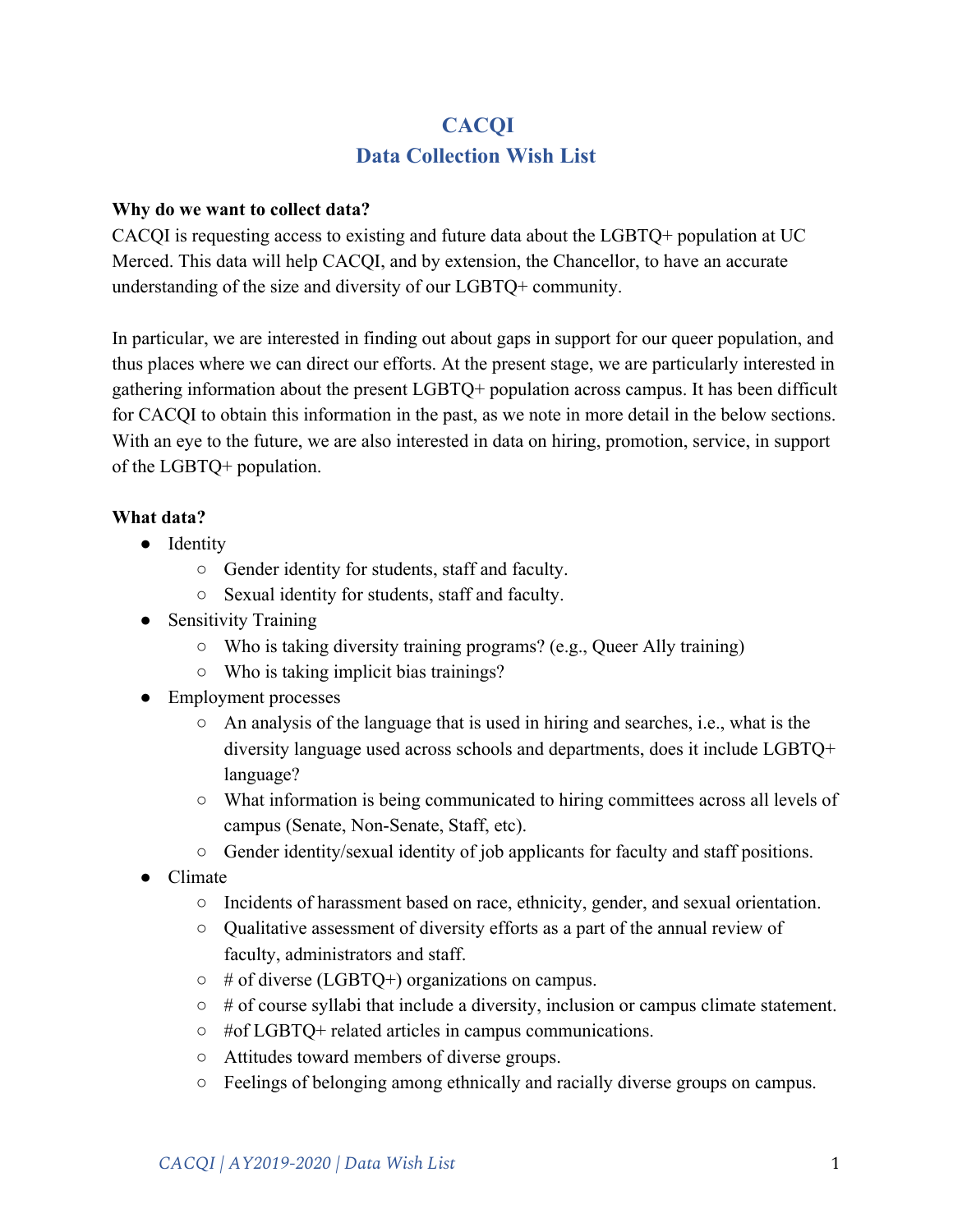# **CACQI Data Collection Wish List**

#### **Why do we want to collect data?**

CACQI is requesting access to existing and future data about the LGBTQ+ population at UC Merced. This data will help CACQI, and by extension, the Chancellor, to have an accurate understanding of the size and diversity of our LGBTQ+ community.

In particular, we are interested in finding out about gaps in support for our queer population, and thus places where we can direct our efforts. At the present stage, we are particularly interested in gathering information about the present LGBTQ+ population across campus. It has been difficult for CACQI to obtain this information in the past, as we note in more detail in the below sections. With an eye to the future, we are also interested in data on hiring, promotion, service, in support of the LGBTQ+ population.

# **What data?**

- Identity
	- Gender identity for students, staff and faculty.
	- Sexual identity for students, staff and faculty.
- Sensitivity Training
	- Who is taking diversity training programs? (e.g., Queer Ally training)
	- Who is taking implicit bias trainings?
- Employment processes
	- $\circ$  An analysis of the language that is used in hiring and searches, i.e., what is the diversity language used across schools and departments, does it include LGBTQ+ language?
	- What information is being communicated to hiring committees across all levels of campus (Senate, Non-Senate, Staff, etc).
	- Gender identity/sexual identity of job applicants for faculty and staff positions.
- Climate
	- Incidents of harassment based on race, ethnicity, gender, and sexual orientation.
	- Qualitative assessment of diversity efforts as a part of the annual review of faculty, administrators and staff.
	- $\circ$  # of diverse (LGBTQ+) organizations on campus.
	- $\circ$  # of course syllabi that include a diversity, inclusion or campus climate statement.
	- #of LGBTQ+ related articles in campus communications.
	- Attitudes toward members of diverse groups.
	- Feelings of belonging among ethnically and racially diverse groups on campus.